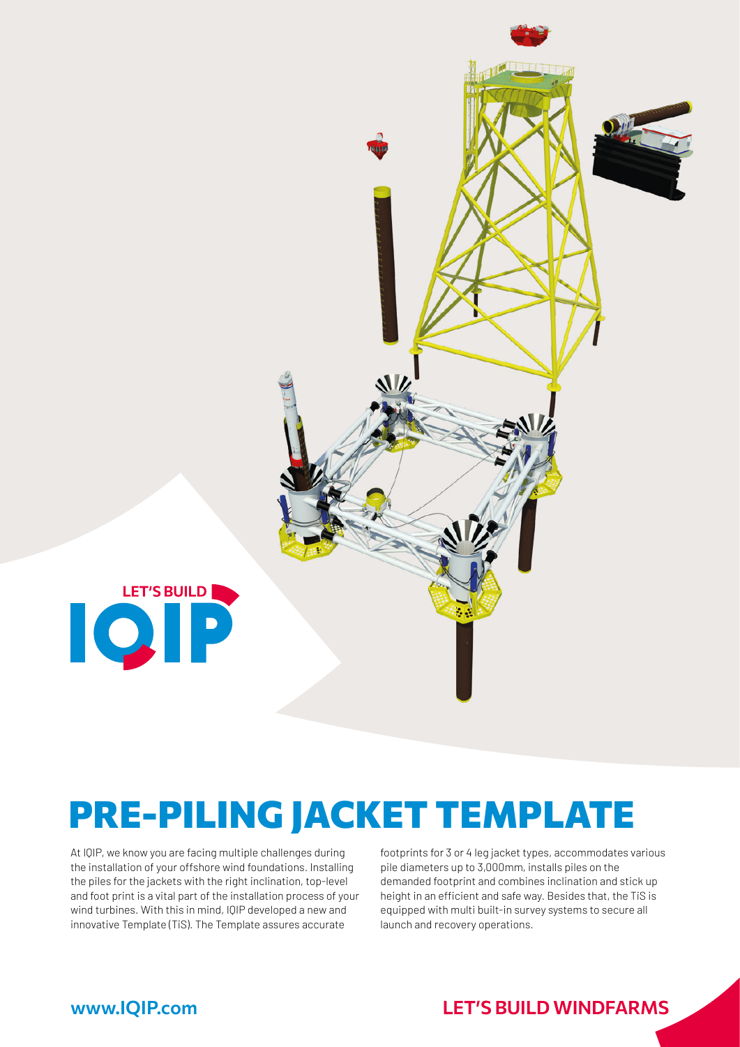

# PRE-PILING JACKET TEMPLATE

At IQIP, we know you are facing multiple challenges during the installation of your offshore wind foundations. Installing the piles for the jackets with the right inclination, top-level and foot print is a vital part of the installation process of your wind turbines. With this in mind, IQIP developed a new and innovative Template (TiS). The Template assures accurate

footprints for 3 or 4 leg jacket types, accommodates various pile diameters up to 3,000mm, installs piles on the demanded footprint and combines inclination and stick up height in an efficient and safe way. Besides that, the TiS is equipped with multi built-in survey systems to secure all launch and recovery operations.

### www.IQIP.com LET**'**S BUILD WINDFARMS